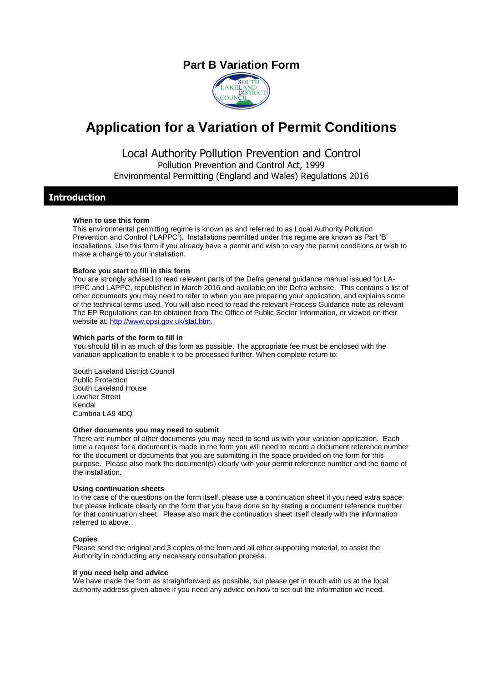## **Part B Variation Form**



# **Application for a Variation of Permit Conditions**

Local Authority Pollution Prevention and Control Pollution Prevention and Control Act, 1999 Environmental Permitting (England and Wales) Regulations 2016

### **Introduction**

#### **When to use this form**

This environmental permitting regime is known as and referred to as Local Authority Pollution Prevention and Control ('LAPPC'). Installations permitted under this regime are known as Part 'B' installations. Use this form if you already have a permit and wish to vary the permit conditions or wish to make a change to your installation.

#### **Before you start to fill in this form**

You are strongly advised to read relevant parts of the Defra general guidance manual issued for LA-IPPC and LAPPC, republished in March 2016 and available on the Defra website. This contains a list of other documents you may need to refer to when you are preparing your application, and explains some of the technical terms used. You will also need to read the relevant Process Guidance note as relevant The EP Regulations can be obtained from The Office of Public Sector Information, or viewed on their website at[: http://www.opsi.gov.uk/stat.htm.](http://www.opsi.gov.uk/stat.htm)

#### **Which parts of the form to fill in**

You should fill in as much of this form as possible. The appropriate fee must be enclosed with the variation application to enable it to be processed further. When complete return to:

South Lakeland District Council Public Protection South Lakeland House Lowther Street Kendal Cumbria LA9 4DQ

#### **Other documents you may need to submit**

There are number of other documents you may need to send us with your variation application. Each time a request for a document is made in the form you will need to record a document reference number for the document or documents that you are submitting in the space provided on the form for this purpose. Please also mark the document(s) clearly with your permit reference number and the name of the installation.

#### **Using continuation sheets**

In the case of the questions on the form itself, please use a continuation sheet if you need extra space; but please indicate clearly on the form that you have done so by stating a document reference number for that continuation sheet. Please also mark the continuation sheet itself clearly with the information referred to above.

#### **Copies**

Please send the original and 3 copies of the form and all other supporting material, to assist the Authority in conducting any necessary consultation process.

#### **If you need help and advice**

We have made the form as straightforward as possible, but please get in touch with us at the local authority address given above if you need any advice on how to set out the information we need.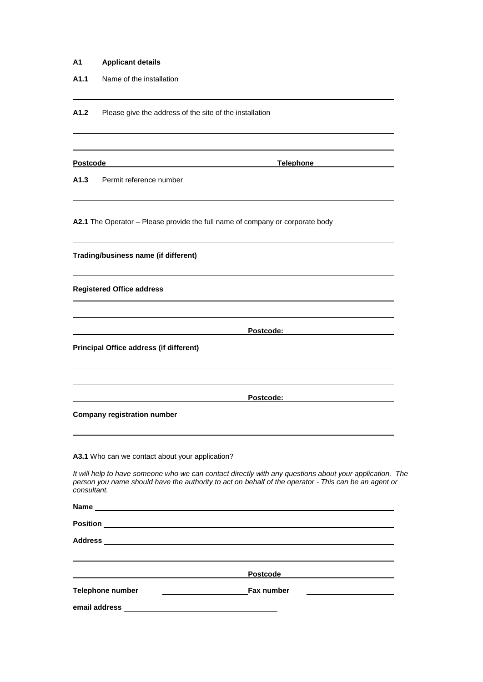| Α1 |  | <b>Applicant details</b> |
|----|--|--------------------------|
|    |  |                          |

**A1.1** Name of the installation

A1.2 Please give the address of the site of the installation

| <b>Postcode</b> |
|-----------------|
|-----------------|

**Postcome Postcome Telephone** 

**A1.3** Permit reference number

**A2.1** The Operator – Please provide the full name of company or corporate body

| Trading/business name (if different)                                                                                                                                                                                           |
|--------------------------------------------------------------------------------------------------------------------------------------------------------------------------------------------------------------------------------|
| <b>Registered Office address</b>                                                                                                                                                                                               |
|                                                                                                                                                                                                                                |
| Postcode:                                                                                                                                                                                                                      |
| <b>Principal Office address (if different)</b>                                                                                                                                                                                 |
|                                                                                                                                                                                                                                |
| Postcode:                                                                                                                                                                                                                      |
| <b>Company registration number</b>                                                                                                                                                                                             |
| A3.1 Who can we contact about your application?                                                                                                                                                                                |
| It will help to have someone who we can contact directly with any questions about your application. The<br>person you name should have the authority to act on behalf of the operator - This can be an agent or<br>consultant. |
| Name experience and a series of the series of the series of the series of the series of the series of the series of the series of the series of the series of the series of the series of the series of the series of the seri |
|                                                                                                                                                                                                                                |
|                                                                                                                                                                                                                                |
| <b>Postcode</b>                                                                                                                                                                                                                |
| <b>Telephone number</b><br><b>Fax number</b>                                                                                                                                                                                   |

**email address**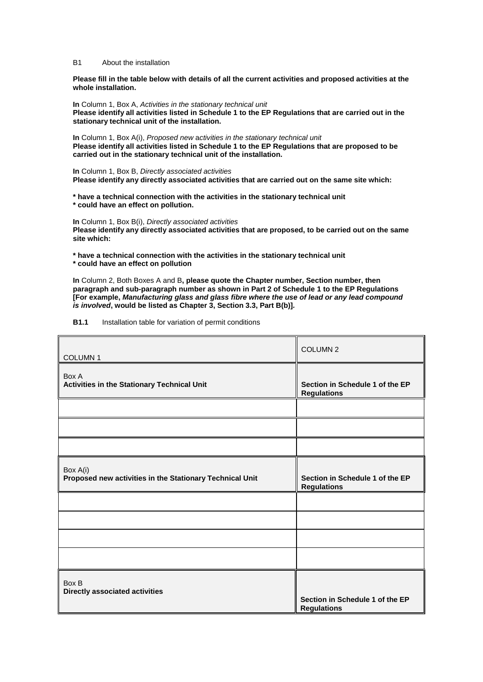B1 About the installation

**Please fill in the table below with details of all the current activities and proposed activities at the whole installation.**

**In** Column 1, Box A, *Activities in the stationary technical unit* **Please identify all activities listed in Schedule 1 to the EP Regulations that are carried out in the stationary technical unit of the installation.**

**In** Column 1, Box A(i), *Proposed new* a*ctivities in the stationary technical unit* **Please identify all activities listed in Schedule 1 to the EP Regulations that are proposed to be carried out in the stationary technical unit of the installation.**

**In** Column 1, Box B, *Directly associated activities*  **Please identify any directly associated activities that are carried out on the same site which:**

**\* have a technical connection with the activities in the stationary technical unit \* could have an effect on pollution.**

**In** Column 1, Box B(i), *Directly associated activities*  **Please identify any directly associated activities that are proposed, to be carried out on the same site which:**

**\* have a technical connection with the activities in the stationary technical unit \* could have an effect on pollution**

**In** Column 2, Both Boxes A and B**, please quote the Chapter number, Section number, then paragraph and sub-paragraph number as shown in Part 2 of Schedule 1 to the EP Regulations [For example,** *Manufacturing glass and glass fibre where the use of lead or any lead compound is involved***, would be listed as Chapter 3, Section 3.3, Part B(b)]***.*

#### **B1.1** Installation table for variation of permit conditions

| COLUMN 1                                                             | COLUMN <sub>2</sub>                                   |
|----------------------------------------------------------------------|-------------------------------------------------------|
| Box A<br>Activities in the Stationary Technical Unit                 | Section in Schedule 1 of the EP<br><b>Regulations</b> |
|                                                                      |                                                       |
|                                                                      |                                                       |
|                                                                      |                                                       |
| Box A(i)<br>Proposed new activities in the Stationary Technical Unit | Section in Schedule 1 of the EP<br><b>Regulations</b> |
|                                                                      |                                                       |
|                                                                      |                                                       |
|                                                                      |                                                       |
|                                                                      |                                                       |
| Box B<br><b>Directly associated activities</b>                       | Section in Schedule 1 of the EP<br><b>Regulations</b> |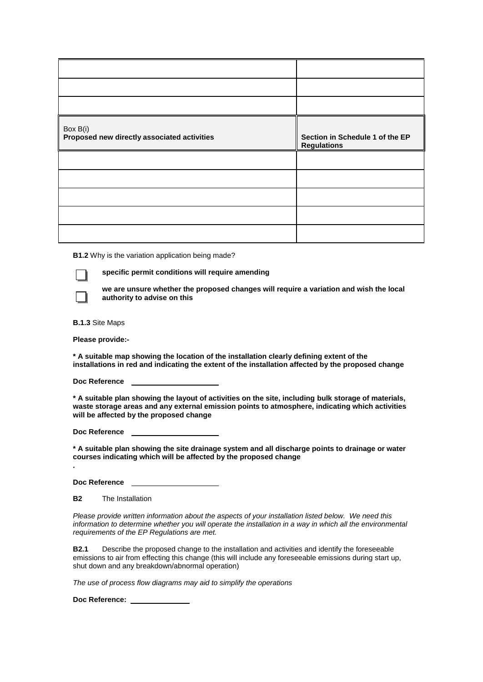| Box B(i)<br>Proposed new directly associated activities | Section in Schedule 1 of the EP<br><b>Regulations</b> |
|---------------------------------------------------------|-------------------------------------------------------|
|                                                         |                                                       |
|                                                         |                                                       |
|                                                         |                                                       |
|                                                         |                                                       |
|                                                         |                                                       |

**B1.2** Why is the variation application being made?

**specific permit conditions will require amending**

**we are unsure whether the proposed changes will require a variation and wish the local authority to advise on this** 

**B.1.3** Site Maps

**Please provide:-**

**\* A suitable map showing the location of the installation clearly defining extent of the installations in red and indicating the extent of the installation affected by the proposed change**

**Doc Reference** 

**\* A suitable plan showing the layout of activities on the site, including bulk storage of materials, waste storage areas and any external emission points to atmosphere, indicating which activities will be affected by the proposed change**

**Doc Reference** 

**\* A suitable plan showing the site drainage system and all discharge points to drainage or water courses indicating which will be affected by the proposed change**

**Doc Reference** 

**B2** The Installation

**.**

*Please provide written information about the aspects of your installation listed below. We need this information to determine whether you will operate the installation in a way in which all the environmental requirements of the EP Regulations are met.*

**B2.1** Describe the proposed change to the installation and activities and identify the foreseeable emissions to air from effecting this change (this will include any foreseeable emissions during start up, shut down and any breakdown/abnormal operation)

*The use of process flow diagrams may aid to simplify the operations*

**Doc Reference:**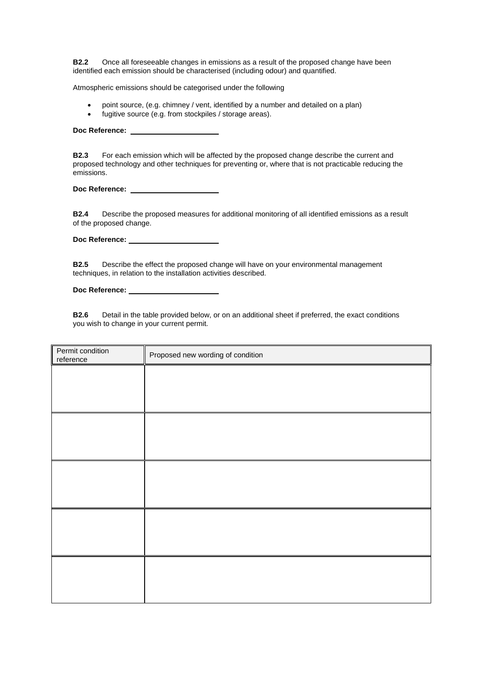**B2.2** Once all foreseeable changes in emissions as a result of the proposed change have been identified each emission should be characterised (including odour) and quantified.

Atmospheric emissions should be categorised under the following

- point source, (e.g. chimney / vent, identified by a number and detailed on a plan)
- fugitive source (e.g. from stockpiles / storage areas).

**Doc Reference:** 

**B2.3** For each emission which will be affected by the proposed change describe the current and proposed technology and other techniques for preventing or, where that is not practicable reducing the emissions.

**Doc Reference:** 

**B2.4** Describe the proposed measures for additional monitoring of all identified emissions as a result of the proposed change.

Doc Reference: **with the Servester Control** 

**B2.5** Describe the effect the proposed change will have on your environmental management techniques, in relation to the installation activities described.

**Doc Reference:** 

**B2.6** Detail in the table provided below, or on an additional sheet if preferred, the exact conditions you wish to change in your current permit.

| Permit condition<br>reference | Proposed new wording of condition |
|-------------------------------|-----------------------------------|
|                               |                                   |
|                               |                                   |
|                               |                                   |
|                               |                                   |
|                               |                                   |
|                               |                                   |
|                               |                                   |
|                               |                                   |
|                               |                                   |
|                               |                                   |
|                               |                                   |
|                               |                                   |
|                               |                                   |
|                               |                                   |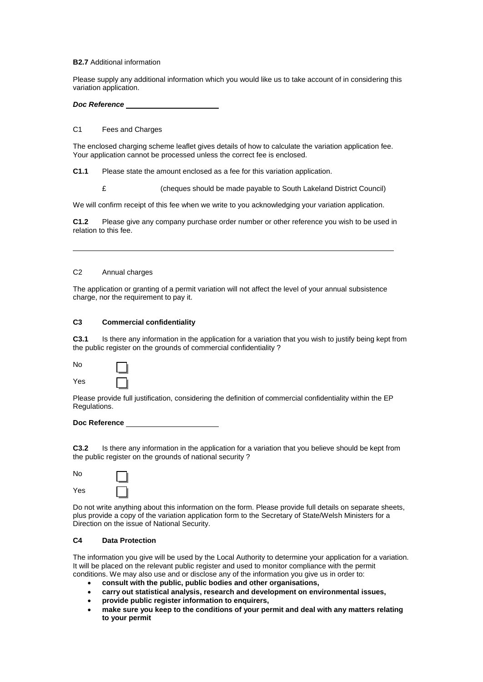#### **B2.7** Additional information

Please supply any additional information which you would like us to take account of in considering this variation application.

*Doc Reference*

#### C1 Fees and Charges

The enclosed charging scheme leaflet gives details of how to calculate the variation application fee. Your application cannot be processed unless the correct fee is enclosed.

**C1.1** Please state the amount enclosed as a fee for this variation application.

£ (cheques should be made payable to South Lakeland District Council)

We will confirm receipt of this fee when we write to you acknowledging your variation application.

**C1.2** Please give any company purchase order number or other reference you wish to be used in relation to this fee.

#### C2 Annual charges

The application or granting of a permit variation will not affect the level of your annual subsistence charge, nor the requirement to pay it.

#### **C3 Commercial confidentiality**

**C3.1** Is there any information in the application for a variation that you wish to justify being kept from the public register on the grounds of commercial confidentiality ?

| No  |  |
|-----|--|
| Yes |  |

Please provide full justification, considering the definition of commercial confidentiality within the EP Regulations.

#### **Doc Reference**

**C3.2** Is there any information in the application for a variation that you believe should be kept from the public register on the grounds of national security ?

| No  |  |
|-----|--|
| Yes |  |

Do not write anything about this information on the form. Please provide full details on separate sheets, plus provide a copy of the variation application form to the Secretary of State/Welsh Ministers for a Direction on the issue of National Security.

#### **C4 Data Protection**

The information you give will be used by the Local Authority to determine your application for a variation. It will be placed on the relevant public register and used to monitor compliance with the permit conditions. We may also use and or disclose any of the information you give us in order to:

- **consult with the public, public bodies and other organisations,**
- **carry out statistical analysis, research and development on environmental issues,**
- **provide public register information to enquirers,**
- **make sure you keep to the conditions of your permit and deal with any matters relating to your permit**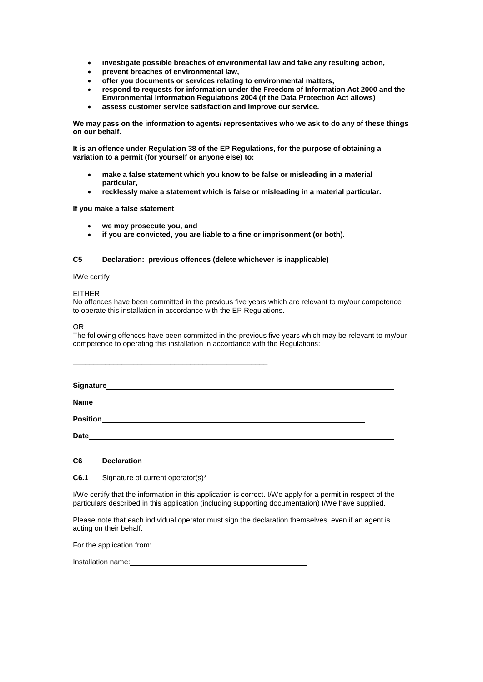- **investigate possible breaches of environmental law and take any resulting action,**
- **prevent breaches of environmental law,**
- **offer you documents or services relating to environmental matters,**
- **respond to requests for information under the Freedom of Information Act 2000 and the Environmental Information Regulations 2004 (if the Data Protection Act allows)**
- **assess customer service satisfaction and improve our service.**

**We may pass on the information to agents/ representatives who we ask to do any of these things on our behalf.** 

**It is an offence under Regulation 38 of the EP Regulations, for the purpose of obtaining a variation to a permit (for yourself or anyone else) to:** 

- **make a false statement which you know to be false or misleading in a material particular,**
- **recklessly make a statement which is false or misleading in a material particular.**

#### **If you make a false statement**

- **we may prosecute you, and**
- **if you are convicted, you are liable to a fine or imprisonment (or both).**

#### **C5 Declaration: previous offences (delete whichever is inapplicable)**

\_\_\_\_\_\_\_\_\_\_\_\_\_\_\_\_\_\_\_\_\_\_\_\_\_\_\_\_\_\_\_\_\_\_\_\_\_\_\_\_\_\_\_\_\_\_\_\_ \_\_\_\_\_\_\_\_\_\_\_\_\_\_\_\_\_\_\_\_\_\_\_\_\_\_\_\_\_\_\_\_\_\_\_\_\_\_\_\_\_\_\_\_\_\_\_\_

I/We certify

#### EITHER

No offences have been committed in the previous five years which are relevant to my/our competence to operate this installation in accordance with the EP Regulations.

OR

The following offences have been committed in the previous five years which may be relevant to my/our competence to operating this installation in accordance with the Regulations:

| Signature |  |  |
|-----------|--|--|
| Name      |  |  |

**Position**

**Date**

#### **C6 Declaration**

**C6.1** Signature of current operator(s)\*

I/We certify that the information in this application is correct. I/We apply for a permit in respect of the particulars described in this application (including supporting documentation) I/We have supplied.

Please note that each individual operator must sign the declaration themselves, even if an agent is acting on their behalf.

For the application from:

Installation name: